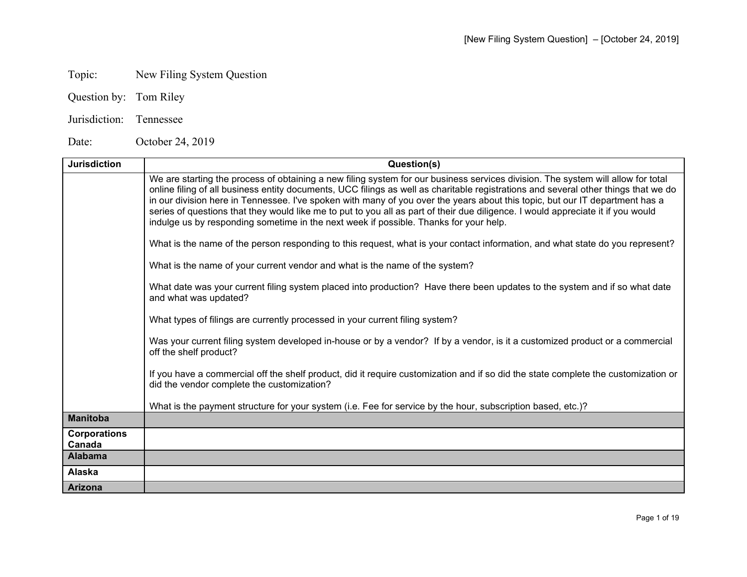## Topic: New Filing System Question

- Question by: Tom Riley
- Jurisdiction: Tennessee

Date: October 24, 2019

| <b>Jurisdiction</b>      | Question(s)                                                                                                                                                                                                                                                                                                                                                                                                                                                                                                                                                                                                                          |
|--------------------------|--------------------------------------------------------------------------------------------------------------------------------------------------------------------------------------------------------------------------------------------------------------------------------------------------------------------------------------------------------------------------------------------------------------------------------------------------------------------------------------------------------------------------------------------------------------------------------------------------------------------------------------|
|                          | We are starting the process of obtaining a new filing system for our business services division. The system will allow for total<br>online filing of all business entity documents, UCC filings as well as charitable registrations and several other things that we do<br>in our division here in Tennessee. I've spoken with many of you over the years about this topic, but our IT department has a<br>series of questions that they would like me to put to you all as part of their due diligence. I would appreciate it if you would<br>indulge us by responding sometime in the next week if possible. Thanks for your help. |
|                          | What is the name of the person responding to this request, what is your contact information, and what state do you represent?                                                                                                                                                                                                                                                                                                                                                                                                                                                                                                        |
|                          | What is the name of your current vendor and what is the name of the system?                                                                                                                                                                                                                                                                                                                                                                                                                                                                                                                                                          |
|                          | What date was your current filing system placed into production? Have there been updates to the system and if so what date<br>and what was updated?                                                                                                                                                                                                                                                                                                                                                                                                                                                                                  |
|                          | What types of filings are currently processed in your current filing system?                                                                                                                                                                                                                                                                                                                                                                                                                                                                                                                                                         |
|                          | Was your current filing system developed in-house or by a vendor? If by a vendor, is it a customized product or a commercial<br>off the shelf product?                                                                                                                                                                                                                                                                                                                                                                                                                                                                               |
|                          | If you have a commercial off the shelf product, did it require customization and if so did the state complete the customization or<br>did the vendor complete the customization?                                                                                                                                                                                                                                                                                                                                                                                                                                                     |
|                          | What is the payment structure for your system (i.e. Fee for service by the hour, subscription based, etc.)?                                                                                                                                                                                                                                                                                                                                                                                                                                                                                                                          |
| <b>Manitoba</b>          |                                                                                                                                                                                                                                                                                                                                                                                                                                                                                                                                                                                                                                      |
| <b>Corporations</b>      |                                                                                                                                                                                                                                                                                                                                                                                                                                                                                                                                                                                                                                      |
| Canada<br><b>Alabama</b> |                                                                                                                                                                                                                                                                                                                                                                                                                                                                                                                                                                                                                                      |
| <b>Alaska</b>            |                                                                                                                                                                                                                                                                                                                                                                                                                                                                                                                                                                                                                                      |
| <b>Arizona</b>           |                                                                                                                                                                                                                                                                                                                                                                                                                                                                                                                                                                                                                                      |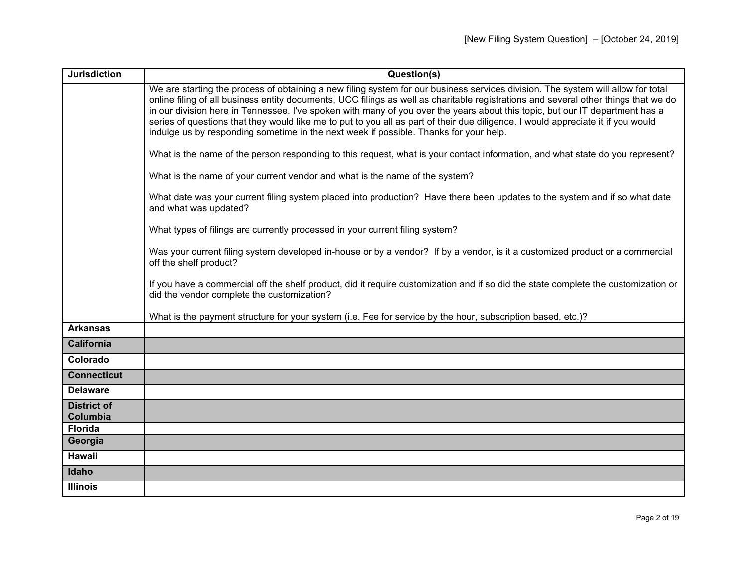| <b>Jurisdiction</b>            | Question(s)                                                                                                                                                                                                                                                                                                                                                                                                                                                                                                                                                                                                                          |
|--------------------------------|--------------------------------------------------------------------------------------------------------------------------------------------------------------------------------------------------------------------------------------------------------------------------------------------------------------------------------------------------------------------------------------------------------------------------------------------------------------------------------------------------------------------------------------------------------------------------------------------------------------------------------------|
|                                | We are starting the process of obtaining a new filing system for our business services division. The system will allow for total<br>online filing of all business entity documents, UCC filings as well as charitable registrations and several other things that we do<br>in our division here in Tennessee. I've spoken with many of you over the years about this topic, but our IT department has a<br>series of questions that they would like me to put to you all as part of their due diligence. I would appreciate it if you would<br>indulge us by responding sometime in the next week if possible. Thanks for your help. |
|                                | What is the name of the person responding to this request, what is your contact information, and what state do you represent?                                                                                                                                                                                                                                                                                                                                                                                                                                                                                                        |
|                                | What is the name of your current vendor and what is the name of the system?                                                                                                                                                                                                                                                                                                                                                                                                                                                                                                                                                          |
|                                | What date was your current filing system placed into production? Have there been updates to the system and if so what date<br>and what was updated?                                                                                                                                                                                                                                                                                                                                                                                                                                                                                  |
|                                | What types of filings are currently processed in your current filing system?                                                                                                                                                                                                                                                                                                                                                                                                                                                                                                                                                         |
|                                | Was your current filing system developed in-house or by a vendor? If by a vendor, is it a customized product or a commercial<br>off the shelf product?                                                                                                                                                                                                                                                                                                                                                                                                                                                                               |
|                                | If you have a commercial off the shelf product, did it require customization and if so did the state complete the customization or<br>did the vendor complete the customization?                                                                                                                                                                                                                                                                                                                                                                                                                                                     |
|                                | What is the payment structure for your system (i.e. Fee for service by the hour, subscription based, etc.)?                                                                                                                                                                                                                                                                                                                                                                                                                                                                                                                          |
| <b>Arkansas</b>                |                                                                                                                                                                                                                                                                                                                                                                                                                                                                                                                                                                                                                                      |
| <b>California</b>              |                                                                                                                                                                                                                                                                                                                                                                                                                                                                                                                                                                                                                                      |
| Colorado                       |                                                                                                                                                                                                                                                                                                                                                                                                                                                                                                                                                                                                                                      |
| <b>Connecticut</b>             |                                                                                                                                                                                                                                                                                                                                                                                                                                                                                                                                                                                                                                      |
| <b>Delaware</b>                |                                                                                                                                                                                                                                                                                                                                                                                                                                                                                                                                                                                                                                      |
| <b>District of</b><br>Columbia |                                                                                                                                                                                                                                                                                                                                                                                                                                                                                                                                                                                                                                      |
| <b>Florida</b>                 |                                                                                                                                                                                                                                                                                                                                                                                                                                                                                                                                                                                                                                      |
| Georgia                        |                                                                                                                                                                                                                                                                                                                                                                                                                                                                                                                                                                                                                                      |
| Hawaii                         |                                                                                                                                                                                                                                                                                                                                                                                                                                                                                                                                                                                                                                      |
| Idaho                          |                                                                                                                                                                                                                                                                                                                                                                                                                                                                                                                                                                                                                                      |
| <b>Illinois</b>                |                                                                                                                                                                                                                                                                                                                                                                                                                                                                                                                                                                                                                                      |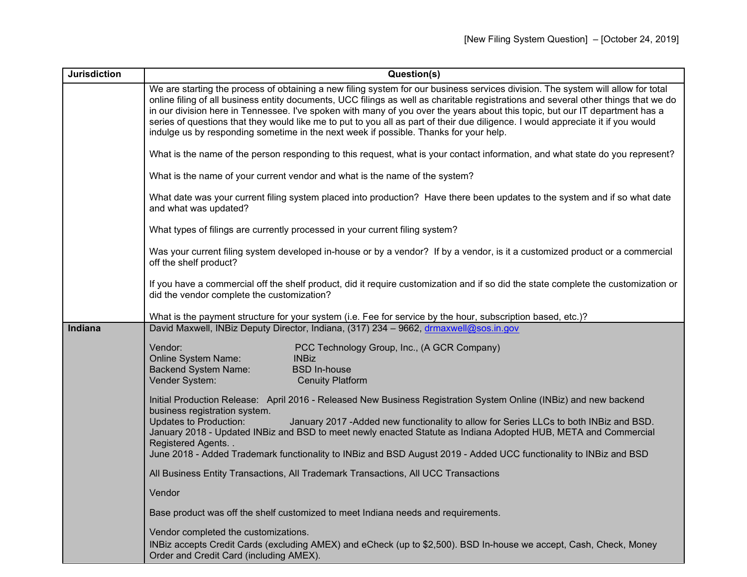| <b>Jurisdiction</b> | Question(s)                                                                                                                                                                                                                                                                                                                                                                                                                                                                                                                                                                                                                          |
|---------------------|--------------------------------------------------------------------------------------------------------------------------------------------------------------------------------------------------------------------------------------------------------------------------------------------------------------------------------------------------------------------------------------------------------------------------------------------------------------------------------------------------------------------------------------------------------------------------------------------------------------------------------------|
|                     | We are starting the process of obtaining a new filing system for our business services division. The system will allow for total<br>online filing of all business entity documents, UCC filings as well as charitable registrations and several other things that we do<br>in our division here in Tennessee. I've spoken with many of you over the years about this topic, but our IT department has a<br>series of questions that they would like me to put to you all as part of their due diligence. I would appreciate it if you would<br>indulge us by responding sometime in the next week if possible. Thanks for your help. |
|                     | What is the name of the person responding to this request, what is your contact information, and what state do you represent?                                                                                                                                                                                                                                                                                                                                                                                                                                                                                                        |
|                     | What is the name of your current vendor and what is the name of the system?                                                                                                                                                                                                                                                                                                                                                                                                                                                                                                                                                          |
|                     | What date was your current filing system placed into production? Have there been updates to the system and if so what date<br>and what was updated?                                                                                                                                                                                                                                                                                                                                                                                                                                                                                  |
|                     | What types of filings are currently processed in your current filing system?                                                                                                                                                                                                                                                                                                                                                                                                                                                                                                                                                         |
|                     | Was your current filing system developed in-house or by a vendor? If by a vendor, is it a customized product or a commercial<br>off the shelf product?                                                                                                                                                                                                                                                                                                                                                                                                                                                                               |
|                     | If you have a commercial off the shelf product, did it require customization and if so did the state complete the customization or<br>did the vendor complete the customization?                                                                                                                                                                                                                                                                                                                                                                                                                                                     |
|                     | What is the payment structure for your system (i.e. Fee for service by the hour, subscription based, etc.)?                                                                                                                                                                                                                                                                                                                                                                                                                                                                                                                          |
| Indiana             | David Maxwell, INBiz Deputy Director, Indiana, (317) 234 - 9662, drmaxwell@sos.in.gov                                                                                                                                                                                                                                                                                                                                                                                                                                                                                                                                                |
|                     | Vendor:<br>PCC Technology Group, Inc., (A GCR Company)                                                                                                                                                                                                                                                                                                                                                                                                                                                                                                                                                                               |
|                     | <b>INBiz</b><br><b>Online System Name:</b><br><b>Backend System Name:</b><br><b>BSD In-house</b>                                                                                                                                                                                                                                                                                                                                                                                                                                                                                                                                     |
|                     | Vender System:<br><b>Cenuity Platform</b>                                                                                                                                                                                                                                                                                                                                                                                                                                                                                                                                                                                            |
|                     | Initial Production Release: April 2016 - Released New Business Registration System Online (INBiz) and new backend<br>business registration system.                                                                                                                                                                                                                                                                                                                                                                                                                                                                                   |
|                     | <b>Updates to Production:</b><br>January 2017 - Added new functionality to allow for Series LLCs to both INBiz and BSD.<br>January 2018 - Updated INBiz and BSD to meet newly enacted Statute as Indiana Adopted HUB, META and Commercial<br>Registered Agents                                                                                                                                                                                                                                                                                                                                                                       |
|                     | June 2018 - Added Trademark functionality to INBiz and BSD August 2019 - Added UCC functionality to INBiz and BSD                                                                                                                                                                                                                                                                                                                                                                                                                                                                                                                    |
|                     | All Business Entity Transactions, All Trademark Transactions, All UCC Transactions                                                                                                                                                                                                                                                                                                                                                                                                                                                                                                                                                   |
|                     | Vendor                                                                                                                                                                                                                                                                                                                                                                                                                                                                                                                                                                                                                               |
|                     | Base product was off the shelf customized to meet Indiana needs and requirements.                                                                                                                                                                                                                                                                                                                                                                                                                                                                                                                                                    |
|                     | Vendor completed the customizations.                                                                                                                                                                                                                                                                                                                                                                                                                                                                                                                                                                                                 |
|                     | INBiz accepts Credit Cards (excluding AMEX) and eCheck (up to \$2,500). BSD In-house we accept, Cash, Check, Money<br>Order and Credit Card (including AMEX).                                                                                                                                                                                                                                                                                                                                                                                                                                                                        |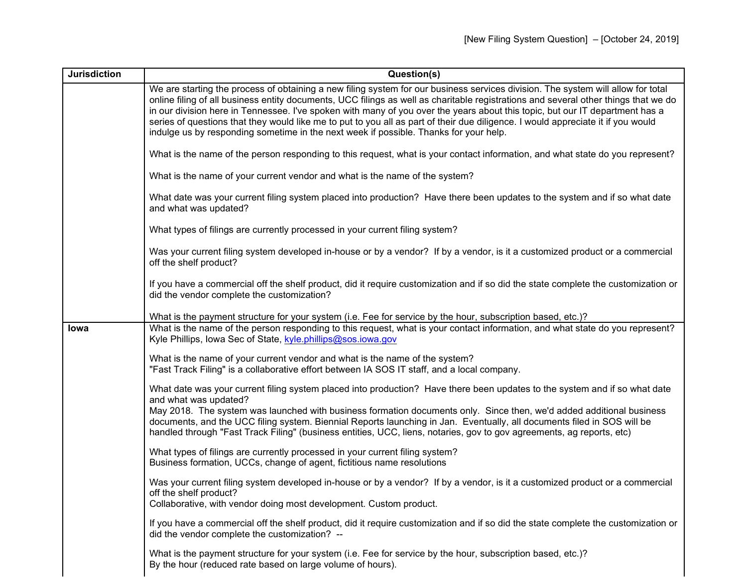| <b>Jurisdiction</b> | Question(s)                                                                                                                                                                                                                                                                                                                                                                                                                                                                                                                                                                                                                          |
|---------------------|--------------------------------------------------------------------------------------------------------------------------------------------------------------------------------------------------------------------------------------------------------------------------------------------------------------------------------------------------------------------------------------------------------------------------------------------------------------------------------------------------------------------------------------------------------------------------------------------------------------------------------------|
|                     | We are starting the process of obtaining a new filing system for our business services division. The system will allow for total<br>online filing of all business entity documents, UCC filings as well as charitable registrations and several other things that we do<br>in our division here in Tennessee. I've spoken with many of you over the years about this topic, but our IT department has a<br>series of questions that they would like me to put to you all as part of their due diligence. I would appreciate it if you would<br>indulge us by responding sometime in the next week if possible. Thanks for your help. |
|                     | What is the name of the person responding to this request, what is your contact information, and what state do you represent?                                                                                                                                                                                                                                                                                                                                                                                                                                                                                                        |
|                     | What is the name of your current vendor and what is the name of the system?                                                                                                                                                                                                                                                                                                                                                                                                                                                                                                                                                          |
|                     | What date was your current filing system placed into production? Have there been updates to the system and if so what date<br>and what was updated?                                                                                                                                                                                                                                                                                                                                                                                                                                                                                  |
|                     | What types of filings are currently processed in your current filing system?                                                                                                                                                                                                                                                                                                                                                                                                                                                                                                                                                         |
|                     | Was your current filing system developed in-house or by a vendor? If by a vendor, is it a customized product or a commercial<br>off the shelf product?                                                                                                                                                                                                                                                                                                                                                                                                                                                                               |
|                     | If you have a commercial off the shelf product, did it require customization and if so did the state complete the customization or<br>did the vendor complete the customization?                                                                                                                                                                                                                                                                                                                                                                                                                                                     |
|                     | What is the payment structure for your system (i.e. Fee for service by the hour, subscription based, etc.)?                                                                                                                                                                                                                                                                                                                                                                                                                                                                                                                          |
| lowa                | What is the name of the person responding to this request, what is your contact information, and what state do you represent?<br>Kyle Phillips, Iowa Sec of State, kyle.phillips@sos.iowa.gov                                                                                                                                                                                                                                                                                                                                                                                                                                        |
|                     | What is the name of your current vendor and what is the name of the system?<br>"Fast Track Filing" is a collaborative effort between IA SOS IT staff, and a local company.                                                                                                                                                                                                                                                                                                                                                                                                                                                           |
|                     | What date was your current filing system placed into production? Have there been updates to the system and if so what date<br>and what was updated?                                                                                                                                                                                                                                                                                                                                                                                                                                                                                  |
|                     | May 2018. The system was launched with business formation documents only. Since then, we'd added additional business<br>documents, and the UCC filing system. Biennial Reports launching in Jan. Eventually, all documents filed in SOS will be<br>handled through "Fast Track Filing" (business entities, UCC, liens, notaries, gov to gov agreements, ag reports, etc)                                                                                                                                                                                                                                                             |
|                     | What types of filings are currently processed in your current filing system?<br>Business formation, UCCs, change of agent, fictitious name resolutions                                                                                                                                                                                                                                                                                                                                                                                                                                                                               |
|                     | Was your current filing system developed in-house or by a vendor? If by a vendor, is it a customized product or a commercial<br>off the shelf product?<br>Collaborative, with vendor doing most development. Custom product.                                                                                                                                                                                                                                                                                                                                                                                                         |
|                     | If you have a commercial off the shelf product, did it require customization and if so did the state complete the customization or<br>did the vendor complete the customization? --                                                                                                                                                                                                                                                                                                                                                                                                                                                  |
|                     | What is the payment structure for your system (i.e. Fee for service by the hour, subscription based, etc.)?<br>By the hour (reduced rate based on large volume of hours).                                                                                                                                                                                                                                                                                                                                                                                                                                                            |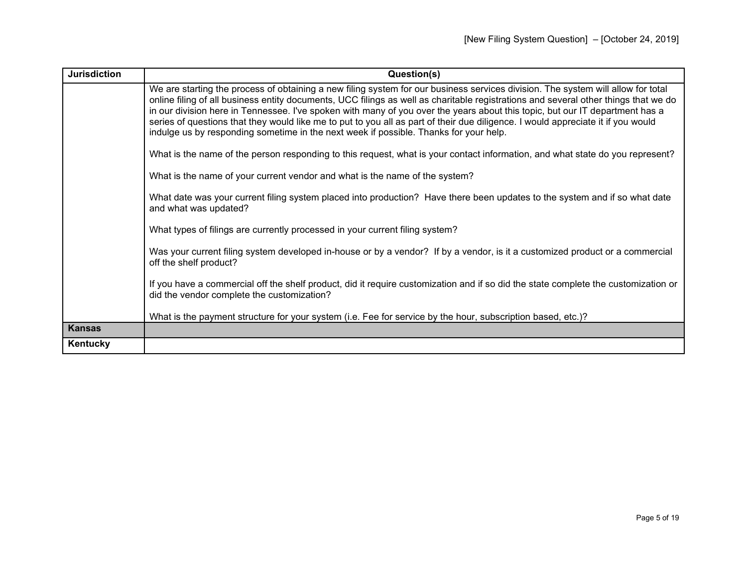| <b>Jurisdiction</b> | Question(s)                                                                                                                                                                                                                                                                                                                                                                                                                                                                                                                                                                                                                          |
|---------------------|--------------------------------------------------------------------------------------------------------------------------------------------------------------------------------------------------------------------------------------------------------------------------------------------------------------------------------------------------------------------------------------------------------------------------------------------------------------------------------------------------------------------------------------------------------------------------------------------------------------------------------------|
|                     | We are starting the process of obtaining a new filing system for our business services division. The system will allow for total<br>online filing of all business entity documents, UCC filings as well as charitable registrations and several other things that we do<br>in our division here in Tennessee. I've spoken with many of you over the years about this topic, but our IT department has a<br>series of questions that they would like me to put to you all as part of their due diligence. I would appreciate it if you would<br>indulge us by responding sometime in the next week if possible. Thanks for your help. |
|                     | What is the name of the person responding to this request, what is your contact information, and what state do you represent?                                                                                                                                                                                                                                                                                                                                                                                                                                                                                                        |
|                     | What is the name of your current vendor and what is the name of the system?                                                                                                                                                                                                                                                                                                                                                                                                                                                                                                                                                          |
|                     | What date was your current filing system placed into production? Have there been updates to the system and if so what date<br>and what was updated?                                                                                                                                                                                                                                                                                                                                                                                                                                                                                  |
|                     | What types of filings are currently processed in your current filing system?                                                                                                                                                                                                                                                                                                                                                                                                                                                                                                                                                         |
|                     | Was your current filing system developed in-house or by a vendor? If by a vendor, is it a customized product or a commercial<br>off the shelf product?                                                                                                                                                                                                                                                                                                                                                                                                                                                                               |
|                     | If you have a commercial off the shelf product, did it require customization and if so did the state complete the customization or<br>did the vendor complete the customization?                                                                                                                                                                                                                                                                                                                                                                                                                                                     |
|                     | What is the payment structure for your system (i.e. Fee for service by the hour, subscription based, etc.)?                                                                                                                                                                                                                                                                                                                                                                                                                                                                                                                          |
| <b>Kansas</b>       |                                                                                                                                                                                                                                                                                                                                                                                                                                                                                                                                                                                                                                      |
| Kentucky            |                                                                                                                                                                                                                                                                                                                                                                                                                                                                                                                                                                                                                                      |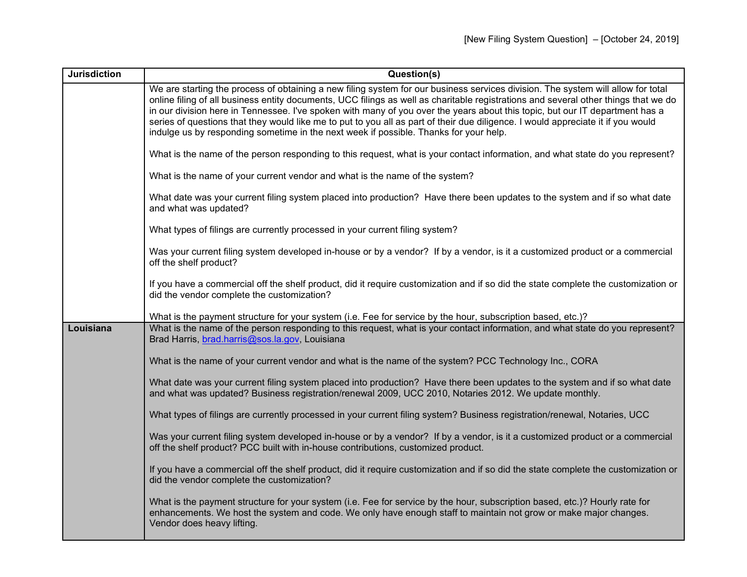| <b>Jurisdiction</b> | Question(s)                                                                                                                                                                                                                                                                                                                                                                                                                                                                                                                                                                                                                          |
|---------------------|--------------------------------------------------------------------------------------------------------------------------------------------------------------------------------------------------------------------------------------------------------------------------------------------------------------------------------------------------------------------------------------------------------------------------------------------------------------------------------------------------------------------------------------------------------------------------------------------------------------------------------------|
|                     | We are starting the process of obtaining a new filing system for our business services division. The system will allow for total<br>online filing of all business entity documents, UCC filings as well as charitable registrations and several other things that we do<br>in our division here in Tennessee. I've spoken with many of you over the years about this topic, but our IT department has a<br>series of questions that they would like me to put to you all as part of their due diligence. I would appreciate it if you would<br>indulge us by responding sometime in the next week if possible. Thanks for your help. |
|                     | What is the name of the person responding to this request, what is your contact information, and what state do you represent?                                                                                                                                                                                                                                                                                                                                                                                                                                                                                                        |
|                     | What is the name of your current vendor and what is the name of the system?                                                                                                                                                                                                                                                                                                                                                                                                                                                                                                                                                          |
|                     | What date was your current filing system placed into production? Have there been updates to the system and if so what date<br>and what was updated?                                                                                                                                                                                                                                                                                                                                                                                                                                                                                  |
|                     | What types of filings are currently processed in your current filing system?                                                                                                                                                                                                                                                                                                                                                                                                                                                                                                                                                         |
|                     | Was your current filing system developed in-house or by a vendor? If by a vendor, is it a customized product or a commercial<br>off the shelf product?                                                                                                                                                                                                                                                                                                                                                                                                                                                                               |
|                     | If you have a commercial off the shelf product, did it require customization and if so did the state complete the customization or<br>did the vendor complete the customization?                                                                                                                                                                                                                                                                                                                                                                                                                                                     |
|                     | What is the payment structure for your system (i.e. Fee for service by the hour, subscription based, etc.)?                                                                                                                                                                                                                                                                                                                                                                                                                                                                                                                          |
| Louisiana           | What is the name of the person responding to this request, what is your contact information, and what state do you represent?<br>Brad Harris, brad.harris@sos.la.gov, Louisiana                                                                                                                                                                                                                                                                                                                                                                                                                                                      |
|                     | What is the name of your current vendor and what is the name of the system? PCC Technology Inc., CORA                                                                                                                                                                                                                                                                                                                                                                                                                                                                                                                                |
|                     | What date was your current filing system placed into production? Have there been updates to the system and if so what date<br>and what was updated? Business registration/renewal 2009, UCC 2010, Notaries 2012. We update monthly.                                                                                                                                                                                                                                                                                                                                                                                                  |
|                     | What types of filings are currently processed in your current filing system? Business registration/renewal, Notaries, UCC                                                                                                                                                                                                                                                                                                                                                                                                                                                                                                            |
|                     | Was your current filing system developed in-house or by a vendor? If by a vendor, is it a customized product or a commercial<br>off the shelf product? PCC built with in-house contributions, customized product.                                                                                                                                                                                                                                                                                                                                                                                                                    |
|                     | If you have a commercial off the shelf product, did it require customization and if so did the state complete the customization or<br>did the vendor complete the customization?                                                                                                                                                                                                                                                                                                                                                                                                                                                     |
|                     | What is the payment structure for your system (i.e. Fee for service by the hour, subscription based, etc.)? Hourly rate for<br>enhancements. We host the system and code. We only have enough staff to maintain not grow or make major changes.<br>Vendor does heavy lifting.                                                                                                                                                                                                                                                                                                                                                        |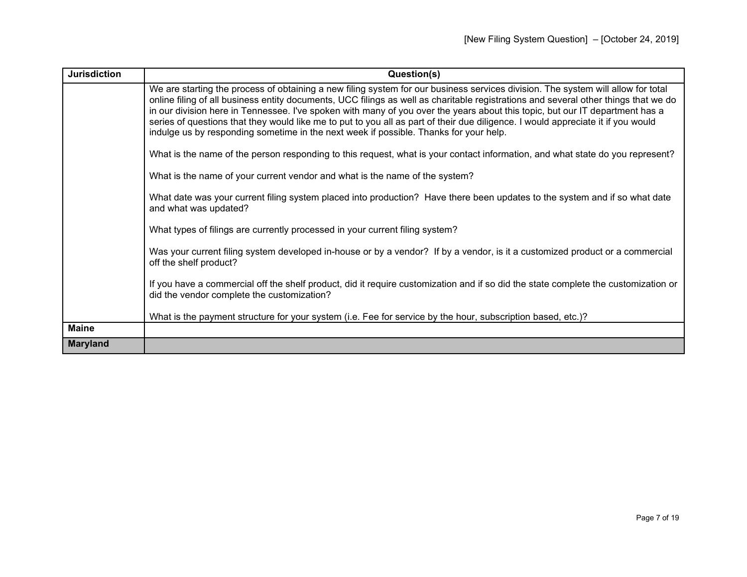| <b>Jurisdiction</b> | Question(s)                                                                                                                                                                                                                                                                                                                                                                                                                                                                                                                                                                                                                          |
|---------------------|--------------------------------------------------------------------------------------------------------------------------------------------------------------------------------------------------------------------------------------------------------------------------------------------------------------------------------------------------------------------------------------------------------------------------------------------------------------------------------------------------------------------------------------------------------------------------------------------------------------------------------------|
|                     | We are starting the process of obtaining a new filing system for our business services division. The system will allow for total<br>online filing of all business entity documents, UCC filings as well as charitable registrations and several other things that we do<br>in our division here in Tennessee. I've spoken with many of you over the years about this topic, but our IT department has a<br>series of questions that they would like me to put to you all as part of their due diligence. I would appreciate it if you would<br>indulge us by responding sometime in the next week if possible. Thanks for your help. |
|                     | What is the name of the person responding to this request, what is your contact information, and what state do you represent?                                                                                                                                                                                                                                                                                                                                                                                                                                                                                                        |
|                     | What is the name of your current vendor and what is the name of the system?                                                                                                                                                                                                                                                                                                                                                                                                                                                                                                                                                          |
|                     | What date was your current filing system placed into production? Have there been updates to the system and if so what date<br>and what was updated?                                                                                                                                                                                                                                                                                                                                                                                                                                                                                  |
|                     | What types of filings are currently processed in your current filing system?                                                                                                                                                                                                                                                                                                                                                                                                                                                                                                                                                         |
|                     | Was your current filing system developed in-house or by a vendor? If by a vendor, is it a customized product or a commercial<br>off the shelf product?                                                                                                                                                                                                                                                                                                                                                                                                                                                                               |
|                     | If you have a commercial off the shelf product, did it require customization and if so did the state complete the customization or<br>did the vendor complete the customization?                                                                                                                                                                                                                                                                                                                                                                                                                                                     |
|                     | What is the payment structure for your system (i.e. Fee for service by the hour, subscription based, etc.)?                                                                                                                                                                                                                                                                                                                                                                                                                                                                                                                          |
| <b>Maine</b>        |                                                                                                                                                                                                                                                                                                                                                                                                                                                                                                                                                                                                                                      |
| <b>Maryland</b>     |                                                                                                                                                                                                                                                                                                                                                                                                                                                                                                                                                                                                                                      |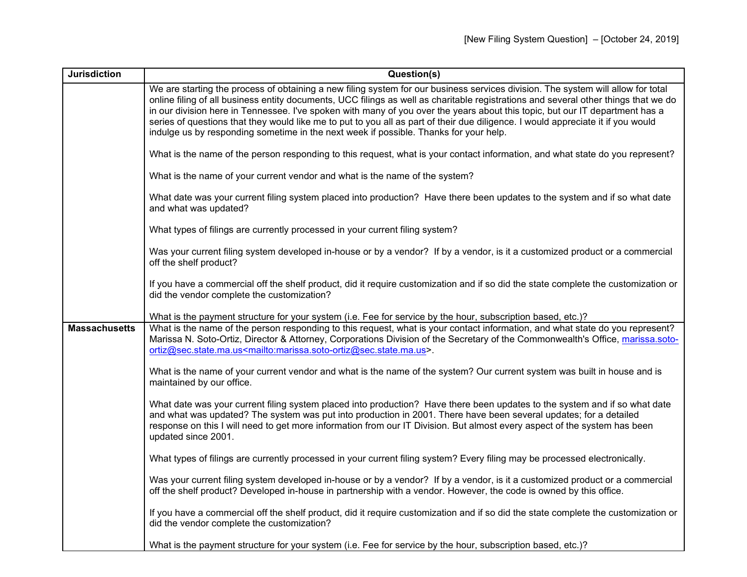| <b>Jurisdiction</b>  | Question(s)                                                                                                                                                                                                                                                                                                                                                                                                                                                                                                                                                                                                                          |
|----------------------|--------------------------------------------------------------------------------------------------------------------------------------------------------------------------------------------------------------------------------------------------------------------------------------------------------------------------------------------------------------------------------------------------------------------------------------------------------------------------------------------------------------------------------------------------------------------------------------------------------------------------------------|
|                      | We are starting the process of obtaining a new filing system for our business services division. The system will allow for total<br>online filing of all business entity documents, UCC filings as well as charitable registrations and several other things that we do<br>in our division here in Tennessee. I've spoken with many of you over the years about this topic, but our IT department has a<br>series of questions that they would like me to put to you all as part of their due diligence. I would appreciate it if you would<br>indulge us by responding sometime in the next week if possible. Thanks for your help. |
|                      | What is the name of the person responding to this request, what is your contact information, and what state do you represent?                                                                                                                                                                                                                                                                                                                                                                                                                                                                                                        |
|                      | What is the name of your current vendor and what is the name of the system?                                                                                                                                                                                                                                                                                                                                                                                                                                                                                                                                                          |
|                      | What date was your current filing system placed into production? Have there been updates to the system and if so what date<br>and what was updated?                                                                                                                                                                                                                                                                                                                                                                                                                                                                                  |
|                      | What types of filings are currently processed in your current filing system?                                                                                                                                                                                                                                                                                                                                                                                                                                                                                                                                                         |
|                      | Was your current filing system developed in-house or by a vendor? If by a vendor, is it a customized product or a commercial<br>off the shelf product?                                                                                                                                                                                                                                                                                                                                                                                                                                                                               |
|                      | If you have a commercial off the shelf product, did it require customization and if so did the state complete the customization or<br>did the vendor complete the customization?                                                                                                                                                                                                                                                                                                                                                                                                                                                     |
|                      | What is the payment structure for your system (i.e. Fee for service by the hour, subscription based, etc.)?                                                                                                                                                                                                                                                                                                                                                                                                                                                                                                                          |
| <b>Massachusetts</b> | What is the name of the person responding to this request, what is your contact information, and what state do you represent?<br>Marissa N. Soto-Ortiz, Director & Attorney, Corporations Division of the Secretary of the Commonwealth's Office, marissa.soto-<br>ortiz@sec.state.ma.us <mailto:marissa.soto-ortiz@sec.state.ma.us>.</mailto:marissa.soto-ortiz@sec.state.ma.us>                                                                                                                                                                                                                                                    |
|                      | What is the name of your current vendor and what is the name of the system? Our current system was built in house and is<br>maintained by our office.                                                                                                                                                                                                                                                                                                                                                                                                                                                                                |
|                      | What date was your current filing system placed into production? Have there been updates to the system and if so what date<br>and what was updated? The system was put into production in 2001. There have been several updates; for a detailed<br>response on this I will need to get more information from our IT Division. But almost every aspect of the system has been<br>updated since 2001.                                                                                                                                                                                                                                  |
|                      | What types of filings are currently processed in your current filing system? Every filing may be processed electronically.                                                                                                                                                                                                                                                                                                                                                                                                                                                                                                           |
|                      | Was your current filing system developed in-house or by a vendor? If by a vendor, is it a customized product or a commercial<br>off the shelf product? Developed in-house in partnership with a vendor. However, the code is owned by this office.                                                                                                                                                                                                                                                                                                                                                                                   |
|                      | If you have a commercial off the shelf product, did it require customization and if so did the state complete the customization or<br>did the vendor complete the customization?                                                                                                                                                                                                                                                                                                                                                                                                                                                     |
|                      | What is the payment structure for your system (i.e. Fee for service by the hour, subscription based, etc.)?                                                                                                                                                                                                                                                                                                                                                                                                                                                                                                                          |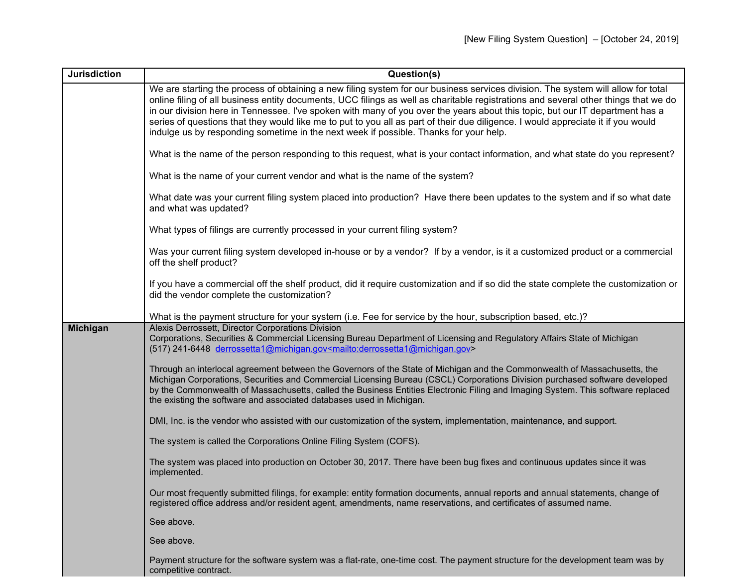| <b>Jurisdiction</b> | Question(s)                                                                                                                                                                                                                                                                                                                                                                                                                                                                                                                                                                                                                          |
|---------------------|--------------------------------------------------------------------------------------------------------------------------------------------------------------------------------------------------------------------------------------------------------------------------------------------------------------------------------------------------------------------------------------------------------------------------------------------------------------------------------------------------------------------------------------------------------------------------------------------------------------------------------------|
|                     | We are starting the process of obtaining a new filing system for our business services division. The system will allow for total<br>online filing of all business entity documents, UCC filings as well as charitable registrations and several other things that we do<br>in our division here in Tennessee. I've spoken with many of you over the years about this topic, but our IT department has a<br>series of questions that they would like me to put to you all as part of their due diligence. I would appreciate it if you would<br>indulge us by responding sometime in the next week if possible. Thanks for your help. |
|                     | What is the name of the person responding to this request, what is your contact information, and what state do you represent?                                                                                                                                                                                                                                                                                                                                                                                                                                                                                                        |
|                     | What is the name of your current vendor and what is the name of the system?                                                                                                                                                                                                                                                                                                                                                                                                                                                                                                                                                          |
|                     | What date was your current filing system placed into production? Have there been updates to the system and if so what date<br>and what was updated?                                                                                                                                                                                                                                                                                                                                                                                                                                                                                  |
|                     | What types of filings are currently processed in your current filing system?                                                                                                                                                                                                                                                                                                                                                                                                                                                                                                                                                         |
|                     | Was your current filing system developed in-house or by a vendor? If by a vendor, is it a customized product or a commercial<br>off the shelf product?                                                                                                                                                                                                                                                                                                                                                                                                                                                                               |
|                     | If you have a commercial off the shelf product, did it require customization and if so did the state complete the customization or<br>did the vendor complete the customization?                                                                                                                                                                                                                                                                                                                                                                                                                                                     |
|                     | What is the payment structure for your system (i.e. Fee for service by the hour, subscription based, etc.)?                                                                                                                                                                                                                                                                                                                                                                                                                                                                                                                          |
| <b>Michigan</b>     | Alexis Derrossett, Director Corporations Division<br>Corporations, Securities & Commercial Licensing Bureau Department of Licensing and Regulatory Affairs State of Michigan<br>(517) 241-6448 derrossetta1@michigan.gov <mailto:derrossetta1@michigan.gov></mailto:derrossetta1@michigan.gov>                                                                                                                                                                                                                                                                                                                                       |
|                     | Through an interlocal agreement between the Governors of the State of Michigan and the Commonwealth of Massachusetts, the<br>Michigan Corporations, Securities and Commercial Licensing Bureau (CSCL) Corporations Division purchased software developed<br>by the Commonwealth of Massachusetts, called the Business Entities Electronic Filing and Imaging System. This software replaced<br>the existing the software and associated databases used in Michigan.                                                                                                                                                                  |
|                     | DMI, Inc. is the vendor who assisted with our customization of the system, implementation, maintenance, and support.                                                                                                                                                                                                                                                                                                                                                                                                                                                                                                                 |
|                     | The system is called the Corporations Online Filing System (COFS).                                                                                                                                                                                                                                                                                                                                                                                                                                                                                                                                                                   |
|                     | The system was placed into production on October 30, 2017. There have been bug fixes and continuous updates since it was<br>implemented.                                                                                                                                                                                                                                                                                                                                                                                                                                                                                             |
|                     | Our most frequently submitted filings, for example: entity formation documents, annual reports and annual statements, change of<br>registered office address and/or resident agent, amendments, name reservations, and certificates of assumed name.                                                                                                                                                                                                                                                                                                                                                                                 |
|                     | See above.                                                                                                                                                                                                                                                                                                                                                                                                                                                                                                                                                                                                                           |
|                     | See above.                                                                                                                                                                                                                                                                                                                                                                                                                                                                                                                                                                                                                           |
|                     | Payment structure for the software system was a flat-rate, one-time cost. The payment structure for the development team was by<br>competitive contract.                                                                                                                                                                                                                                                                                                                                                                                                                                                                             |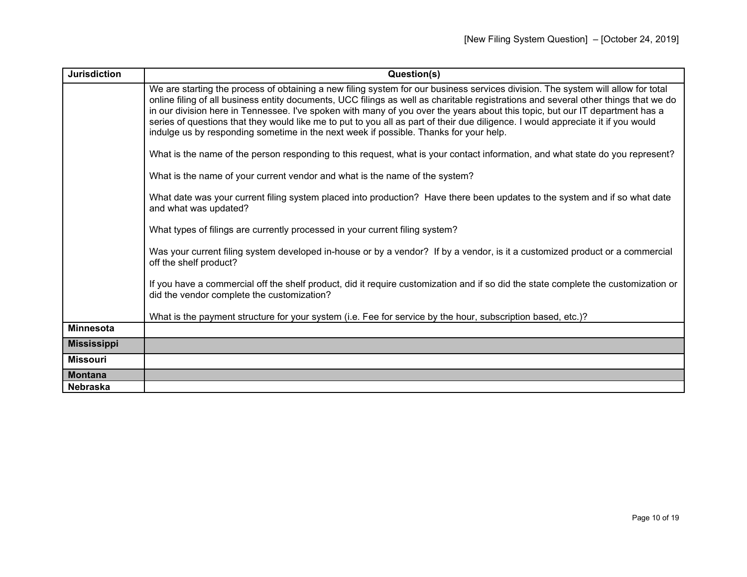| <b>Jurisdiction</b> | Question(s)                                                                                                                                                                                                                                                                                                                                                                                                                                                                                                                                                                                                                          |
|---------------------|--------------------------------------------------------------------------------------------------------------------------------------------------------------------------------------------------------------------------------------------------------------------------------------------------------------------------------------------------------------------------------------------------------------------------------------------------------------------------------------------------------------------------------------------------------------------------------------------------------------------------------------|
|                     | We are starting the process of obtaining a new filing system for our business services division. The system will allow for total<br>online filing of all business entity documents, UCC filings as well as charitable registrations and several other things that we do<br>in our division here in Tennessee. I've spoken with many of you over the years about this topic, but our IT department has a<br>series of questions that they would like me to put to you all as part of their due diligence. I would appreciate it if you would<br>indulge us by responding sometime in the next week if possible. Thanks for your help. |
|                     | What is the name of the person responding to this request, what is your contact information, and what state do you represent?                                                                                                                                                                                                                                                                                                                                                                                                                                                                                                        |
|                     | What is the name of your current vendor and what is the name of the system?                                                                                                                                                                                                                                                                                                                                                                                                                                                                                                                                                          |
|                     | What date was your current filing system placed into production? Have there been updates to the system and if so what date<br>and what was updated?                                                                                                                                                                                                                                                                                                                                                                                                                                                                                  |
|                     | What types of filings are currently processed in your current filing system?                                                                                                                                                                                                                                                                                                                                                                                                                                                                                                                                                         |
|                     | Was your current filing system developed in-house or by a vendor? If by a vendor, is it a customized product or a commercial<br>off the shelf product?                                                                                                                                                                                                                                                                                                                                                                                                                                                                               |
|                     | If you have a commercial off the shelf product, did it require customization and if so did the state complete the customization or<br>did the vendor complete the customization?                                                                                                                                                                                                                                                                                                                                                                                                                                                     |
|                     | What is the payment structure for your system (i.e. Fee for service by the hour, subscription based, etc.)?                                                                                                                                                                                                                                                                                                                                                                                                                                                                                                                          |
| <b>Minnesota</b>    |                                                                                                                                                                                                                                                                                                                                                                                                                                                                                                                                                                                                                                      |
| <b>Mississippi</b>  |                                                                                                                                                                                                                                                                                                                                                                                                                                                                                                                                                                                                                                      |
| <b>Missouri</b>     |                                                                                                                                                                                                                                                                                                                                                                                                                                                                                                                                                                                                                                      |
| <b>Montana</b>      |                                                                                                                                                                                                                                                                                                                                                                                                                                                                                                                                                                                                                                      |
| <b>Nebraska</b>     |                                                                                                                                                                                                                                                                                                                                                                                                                                                                                                                                                                                                                                      |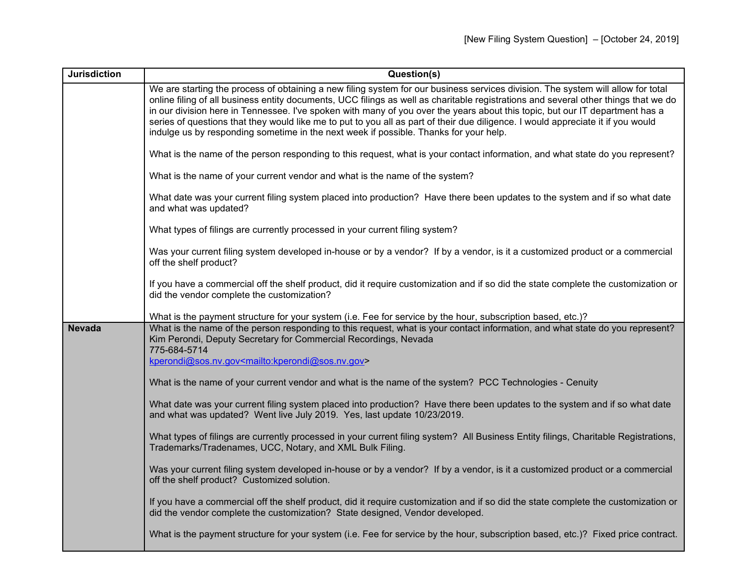| <b>Jurisdiction</b> | Question(s)                                                                                                                                                                                                                                                                                                                                                                                                                                                                                                                                                                                                                          |
|---------------------|--------------------------------------------------------------------------------------------------------------------------------------------------------------------------------------------------------------------------------------------------------------------------------------------------------------------------------------------------------------------------------------------------------------------------------------------------------------------------------------------------------------------------------------------------------------------------------------------------------------------------------------|
|                     | We are starting the process of obtaining a new filing system for our business services division. The system will allow for total<br>online filing of all business entity documents, UCC filings as well as charitable registrations and several other things that we do<br>in our division here in Tennessee. I've spoken with many of you over the years about this topic, but our IT department has a<br>series of questions that they would like me to put to you all as part of their due diligence. I would appreciate it if you would<br>indulge us by responding sometime in the next week if possible. Thanks for your help. |
|                     | What is the name of the person responding to this request, what is your contact information, and what state do you represent?                                                                                                                                                                                                                                                                                                                                                                                                                                                                                                        |
|                     | What is the name of your current vendor and what is the name of the system?                                                                                                                                                                                                                                                                                                                                                                                                                                                                                                                                                          |
|                     | What date was your current filing system placed into production? Have there been updates to the system and if so what date<br>and what was updated?                                                                                                                                                                                                                                                                                                                                                                                                                                                                                  |
|                     | What types of filings are currently processed in your current filing system?                                                                                                                                                                                                                                                                                                                                                                                                                                                                                                                                                         |
|                     | Was your current filing system developed in-house or by a vendor? If by a vendor, is it a customized product or a commercial<br>off the shelf product?                                                                                                                                                                                                                                                                                                                                                                                                                                                                               |
|                     | If you have a commercial off the shelf product, did it require customization and if so did the state complete the customization or<br>did the vendor complete the customization?                                                                                                                                                                                                                                                                                                                                                                                                                                                     |
|                     | What is the payment structure for your system (i.e. Fee for service by the hour, subscription based, etc.)?                                                                                                                                                                                                                                                                                                                                                                                                                                                                                                                          |
| <b>Nevada</b>       | What is the name of the person responding to this request, what is your contact information, and what state do you represent?<br>Kim Perondi, Deputy Secretary for Commercial Recordings, Nevada<br>775-684-5714                                                                                                                                                                                                                                                                                                                                                                                                                     |
|                     | kperondi@sos.nv.gov <mailto:kperondi@sos.nv.gov></mailto:kperondi@sos.nv.gov>                                                                                                                                                                                                                                                                                                                                                                                                                                                                                                                                                        |
|                     | What is the name of your current vendor and what is the name of the system? PCC Technologies - Cenuity                                                                                                                                                                                                                                                                                                                                                                                                                                                                                                                               |
|                     | What date was your current filing system placed into production? Have there been updates to the system and if so what date<br>and what was updated? Went live July 2019. Yes, last update 10/23/2019.                                                                                                                                                                                                                                                                                                                                                                                                                                |
|                     | What types of filings are currently processed in your current filing system? All Business Entity filings, Charitable Registrations,<br>Trademarks/Tradenames, UCC, Notary, and XML Bulk Filing.                                                                                                                                                                                                                                                                                                                                                                                                                                      |
|                     | Was your current filing system developed in-house or by a vendor? If by a vendor, is it a customized product or a commercial<br>off the shelf product? Customized solution.                                                                                                                                                                                                                                                                                                                                                                                                                                                          |
|                     | If you have a commercial off the shelf product, did it require customization and if so did the state complete the customization or<br>did the vendor complete the customization? State designed, Vendor developed.                                                                                                                                                                                                                                                                                                                                                                                                                   |
|                     | What is the payment structure for your system (i.e. Fee for service by the hour, subscription based, etc.)? Fixed price contract.                                                                                                                                                                                                                                                                                                                                                                                                                                                                                                    |

. .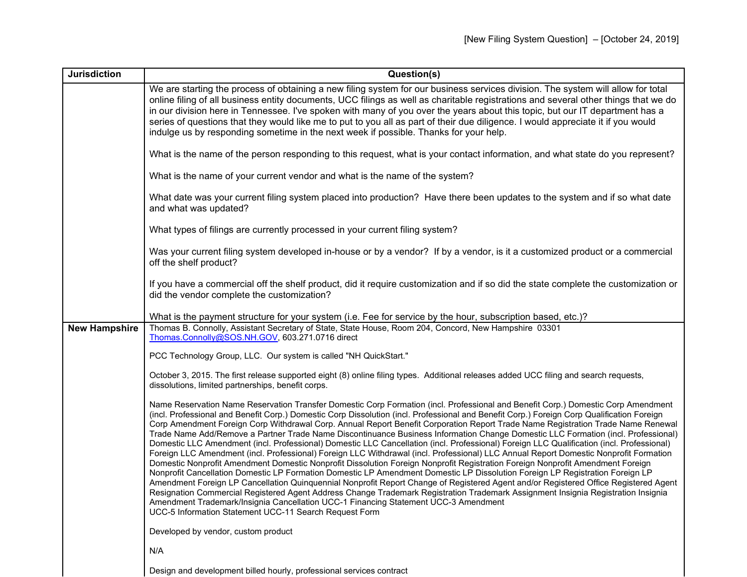| <b>Jurisdiction</b>  | Question(s)                                                                                                                                                                                                                                                                                                                                                                                                                                                                                                                                                                                                                                                                                                                                                                                                                                                                                                                                                                                                                                                                                                                                                                                                                                                                                                                                                                                                                                                                                                                                     |
|----------------------|-------------------------------------------------------------------------------------------------------------------------------------------------------------------------------------------------------------------------------------------------------------------------------------------------------------------------------------------------------------------------------------------------------------------------------------------------------------------------------------------------------------------------------------------------------------------------------------------------------------------------------------------------------------------------------------------------------------------------------------------------------------------------------------------------------------------------------------------------------------------------------------------------------------------------------------------------------------------------------------------------------------------------------------------------------------------------------------------------------------------------------------------------------------------------------------------------------------------------------------------------------------------------------------------------------------------------------------------------------------------------------------------------------------------------------------------------------------------------------------------------------------------------------------------------|
|                      | We are starting the process of obtaining a new filing system for our business services division. The system will allow for total<br>online filing of all business entity documents, UCC filings as well as charitable registrations and several other things that we do<br>in our division here in Tennessee. I've spoken with many of you over the years about this topic, but our IT department has a<br>series of questions that they would like me to put to you all as part of their due diligence. I would appreciate it if you would<br>indulge us by responding sometime in the next week if possible. Thanks for your help.                                                                                                                                                                                                                                                                                                                                                                                                                                                                                                                                                                                                                                                                                                                                                                                                                                                                                                            |
|                      | What is the name of the person responding to this request, what is your contact information, and what state do you represent?                                                                                                                                                                                                                                                                                                                                                                                                                                                                                                                                                                                                                                                                                                                                                                                                                                                                                                                                                                                                                                                                                                                                                                                                                                                                                                                                                                                                                   |
|                      | What is the name of your current vendor and what is the name of the system?                                                                                                                                                                                                                                                                                                                                                                                                                                                                                                                                                                                                                                                                                                                                                                                                                                                                                                                                                                                                                                                                                                                                                                                                                                                                                                                                                                                                                                                                     |
|                      | What date was your current filing system placed into production? Have there been updates to the system and if so what date<br>and what was updated?                                                                                                                                                                                                                                                                                                                                                                                                                                                                                                                                                                                                                                                                                                                                                                                                                                                                                                                                                                                                                                                                                                                                                                                                                                                                                                                                                                                             |
|                      | What types of filings are currently processed in your current filing system?                                                                                                                                                                                                                                                                                                                                                                                                                                                                                                                                                                                                                                                                                                                                                                                                                                                                                                                                                                                                                                                                                                                                                                                                                                                                                                                                                                                                                                                                    |
|                      | Was your current filing system developed in-house or by a vendor? If by a vendor, is it a customized product or a commercial<br>off the shelf product?                                                                                                                                                                                                                                                                                                                                                                                                                                                                                                                                                                                                                                                                                                                                                                                                                                                                                                                                                                                                                                                                                                                                                                                                                                                                                                                                                                                          |
|                      | If you have a commercial off the shelf product, did it require customization and if so did the state complete the customization or<br>did the vendor complete the customization?                                                                                                                                                                                                                                                                                                                                                                                                                                                                                                                                                                                                                                                                                                                                                                                                                                                                                                                                                                                                                                                                                                                                                                                                                                                                                                                                                                |
|                      | What is the payment structure for your system (i.e. Fee for service by the hour, subscription based, etc.)?                                                                                                                                                                                                                                                                                                                                                                                                                                                                                                                                                                                                                                                                                                                                                                                                                                                                                                                                                                                                                                                                                                                                                                                                                                                                                                                                                                                                                                     |
| <b>New Hampshire</b> | Thomas B. Connolly, Assistant Secretary of State, State House, Room 204, Concord, New Hampshire 03301<br>Thomas.Connolly@SOS.NH.GOV, 603.271.0716 direct                                                                                                                                                                                                                                                                                                                                                                                                                                                                                                                                                                                                                                                                                                                                                                                                                                                                                                                                                                                                                                                                                                                                                                                                                                                                                                                                                                                        |
|                      | PCC Technology Group, LLC. Our system is called "NH QuickStart."                                                                                                                                                                                                                                                                                                                                                                                                                                                                                                                                                                                                                                                                                                                                                                                                                                                                                                                                                                                                                                                                                                                                                                                                                                                                                                                                                                                                                                                                                |
|                      | October 3, 2015. The first release supported eight (8) online filing types. Additional releases added UCC filing and search requests,<br>dissolutions, limited partnerships, benefit corps.                                                                                                                                                                                                                                                                                                                                                                                                                                                                                                                                                                                                                                                                                                                                                                                                                                                                                                                                                                                                                                                                                                                                                                                                                                                                                                                                                     |
|                      | Name Reservation Name Reservation Transfer Domestic Corp Formation (incl. Professional and Benefit Corp.) Domestic Corp Amendment<br>(incl. Professional and Benefit Corp.) Domestic Corp Dissolution (incl. Professional and Benefit Corp.) Foreign Corp Qualification Foreign<br>Corp Amendment Foreign Corp Withdrawal Corp. Annual Report Benefit Corporation Report Trade Name Registration Trade Name Renewal<br>Trade Name Add/Remove a Partner Trade Name Discontinuance Business Information Change Domestic LLC Formation (incl. Professional)<br>Domestic LLC Amendment (incl. Professional) Domestic LLC Cancellation (incl. Professional) Foreign LLC Qualification (incl. Professional)<br>Foreign LLC Amendment (incl. Professional) Foreign LLC Withdrawal (incl. Professional) LLC Annual Report Domestic Nonprofit Formation<br>Domestic Nonprofit Amendment Domestic Nonprofit Dissolution Foreign Nonprofit Registration Foreign Nonprofit Amendment Foreign<br>Nonprofit Cancellation Domestic LP Formation Domestic LP Amendment Domestic LP Dissolution Foreign LP Registration Foreign LP<br>Amendment Foreign LP Cancellation Quinquennial Nonprofit Report Change of Registered Agent and/or Registered Office Registered Agent<br>Resignation Commercial Registered Agent Address Change Trademark Registration Trademark Assignment Insignia Registration Insignia<br>Amendment Trademark/Insignia Cancellation UCC-1 Financing Statement UCC-3 Amendment<br>UCC-5 Information Statement UCC-11 Search Request Form |
|                      | Developed by vendor, custom product                                                                                                                                                                                                                                                                                                                                                                                                                                                                                                                                                                                                                                                                                                                                                                                                                                                                                                                                                                                                                                                                                                                                                                                                                                                                                                                                                                                                                                                                                                             |
|                      | N/A                                                                                                                                                                                                                                                                                                                                                                                                                                                                                                                                                                                                                                                                                                                                                                                                                                                                                                                                                                                                                                                                                                                                                                                                                                                                                                                                                                                                                                                                                                                                             |
|                      | Design and development billed hourly, professional services contract                                                                                                                                                                                                                                                                                                                                                                                                                                                                                                                                                                                                                                                                                                                                                                                                                                                                                                                                                                                                                                                                                                                                                                                                                                                                                                                                                                                                                                                                            |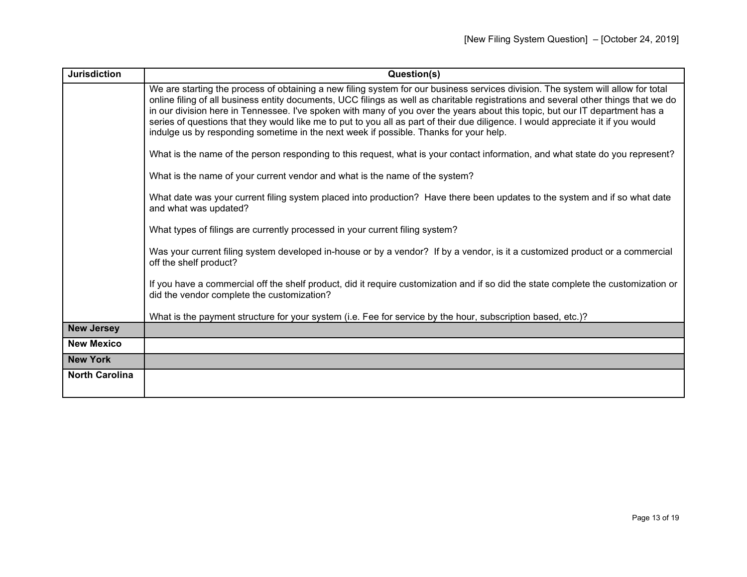| <b>Jurisdiction</b>   | Question(s)                                                                                                                                                                                                                                                                                                                                                                                                                                                                                                                                                                                                                          |
|-----------------------|--------------------------------------------------------------------------------------------------------------------------------------------------------------------------------------------------------------------------------------------------------------------------------------------------------------------------------------------------------------------------------------------------------------------------------------------------------------------------------------------------------------------------------------------------------------------------------------------------------------------------------------|
|                       | We are starting the process of obtaining a new filing system for our business services division. The system will allow for total<br>online filing of all business entity documents, UCC filings as well as charitable registrations and several other things that we do<br>in our division here in Tennessee. I've spoken with many of you over the years about this topic, but our IT department has a<br>series of questions that they would like me to put to you all as part of their due diligence. I would appreciate it if you would<br>indulge us by responding sometime in the next week if possible. Thanks for your help. |
|                       | What is the name of the person responding to this request, what is your contact information, and what state do you represent?                                                                                                                                                                                                                                                                                                                                                                                                                                                                                                        |
|                       | What is the name of your current vendor and what is the name of the system?                                                                                                                                                                                                                                                                                                                                                                                                                                                                                                                                                          |
|                       | What date was your current filing system placed into production? Have there been updates to the system and if so what date<br>and what was updated?                                                                                                                                                                                                                                                                                                                                                                                                                                                                                  |
|                       | What types of filings are currently processed in your current filing system?                                                                                                                                                                                                                                                                                                                                                                                                                                                                                                                                                         |
|                       | Was your current filing system developed in-house or by a vendor? If by a vendor, is it a customized product or a commercial<br>off the shelf product?                                                                                                                                                                                                                                                                                                                                                                                                                                                                               |
|                       | If you have a commercial off the shelf product, did it require customization and if so did the state complete the customization or<br>did the vendor complete the customization?                                                                                                                                                                                                                                                                                                                                                                                                                                                     |
|                       | What is the payment structure for your system (i.e. Fee for service by the hour, subscription based, etc.)?                                                                                                                                                                                                                                                                                                                                                                                                                                                                                                                          |
| <b>New Jersey</b>     |                                                                                                                                                                                                                                                                                                                                                                                                                                                                                                                                                                                                                                      |
| <b>New Mexico</b>     |                                                                                                                                                                                                                                                                                                                                                                                                                                                                                                                                                                                                                                      |
| <b>New York</b>       |                                                                                                                                                                                                                                                                                                                                                                                                                                                                                                                                                                                                                                      |
| <b>North Carolina</b> |                                                                                                                                                                                                                                                                                                                                                                                                                                                                                                                                                                                                                                      |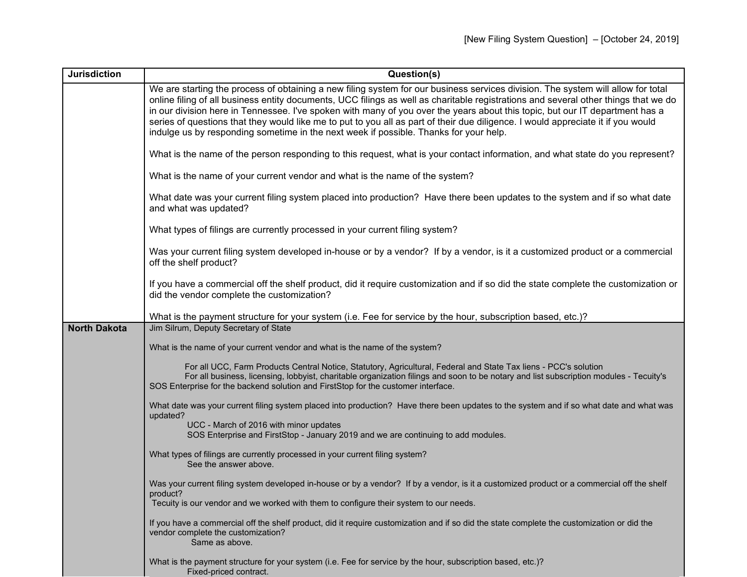| <b>Jurisdiction</b> | Question(s)                                                                                                                                                                                                                                                                                                                                                                                                                                                                                                                                                                                                                          |
|---------------------|--------------------------------------------------------------------------------------------------------------------------------------------------------------------------------------------------------------------------------------------------------------------------------------------------------------------------------------------------------------------------------------------------------------------------------------------------------------------------------------------------------------------------------------------------------------------------------------------------------------------------------------|
|                     | We are starting the process of obtaining a new filing system for our business services division. The system will allow for total<br>online filing of all business entity documents, UCC filings as well as charitable registrations and several other things that we do<br>in our division here in Tennessee. I've spoken with many of you over the years about this topic, but our IT department has a<br>series of questions that they would like me to put to you all as part of their due diligence. I would appreciate it if you would<br>indulge us by responding sometime in the next week if possible. Thanks for your help. |
|                     | What is the name of the person responding to this request, what is your contact information, and what state do you represent?                                                                                                                                                                                                                                                                                                                                                                                                                                                                                                        |
|                     | What is the name of your current vendor and what is the name of the system?                                                                                                                                                                                                                                                                                                                                                                                                                                                                                                                                                          |
|                     | What date was your current filing system placed into production? Have there been updates to the system and if so what date<br>and what was updated?                                                                                                                                                                                                                                                                                                                                                                                                                                                                                  |
|                     | What types of filings are currently processed in your current filing system?                                                                                                                                                                                                                                                                                                                                                                                                                                                                                                                                                         |
|                     | Was your current filing system developed in-house or by a vendor? If by a vendor, is it a customized product or a commercial<br>off the shelf product?                                                                                                                                                                                                                                                                                                                                                                                                                                                                               |
|                     | If you have a commercial off the shelf product, did it require customization and if so did the state complete the customization or<br>did the vendor complete the customization?                                                                                                                                                                                                                                                                                                                                                                                                                                                     |
|                     | What is the payment structure for your system (i.e. Fee for service by the hour, subscription based, etc.)?                                                                                                                                                                                                                                                                                                                                                                                                                                                                                                                          |
| <b>North Dakota</b> | Jim Silrum, Deputy Secretary of State                                                                                                                                                                                                                                                                                                                                                                                                                                                                                                                                                                                                |
|                     | What is the name of your current vendor and what is the name of the system?                                                                                                                                                                                                                                                                                                                                                                                                                                                                                                                                                          |
|                     | For all UCC, Farm Products Central Notice, Statutory, Agricultural, Federal and State Tax liens - PCC's solution<br>For all business, licensing, lobbyist, charitable organization filings and soon to be notary and list subscription modules - Tecuity's<br>SOS Enterprise for the backend solution and FirstStop for the customer interface.                                                                                                                                                                                                                                                                                      |
|                     | What date was your current filing system placed into production? Have there been updates to the system and if so what date and what was<br>updated?                                                                                                                                                                                                                                                                                                                                                                                                                                                                                  |
|                     | UCC - March of 2016 with minor updates<br>SOS Enterprise and FirstStop - January 2019 and we are continuing to add modules.                                                                                                                                                                                                                                                                                                                                                                                                                                                                                                          |
|                     | What types of filings are currently processed in your current filing system?<br>See the answer above.                                                                                                                                                                                                                                                                                                                                                                                                                                                                                                                                |
|                     | Was your current filing system developed in-house or by a vendor? If by a vendor, is it a customized product or a commercial off the shelf<br>product?<br>Tecuity is our vendor and we worked with them to configure their system to our needs.                                                                                                                                                                                                                                                                                                                                                                                      |
|                     |                                                                                                                                                                                                                                                                                                                                                                                                                                                                                                                                                                                                                                      |
|                     | If you have a commercial off the shelf product, did it require customization and if so did the state complete the customization or did the<br>vendor complete the customization?<br>Same as above.                                                                                                                                                                                                                                                                                                                                                                                                                                   |
|                     | What is the payment structure for your system (i.e. Fee for service by the hour, subscription based, etc.)?<br>Fixed-priced contract.                                                                                                                                                                                                                                                                                                                                                                                                                                                                                                |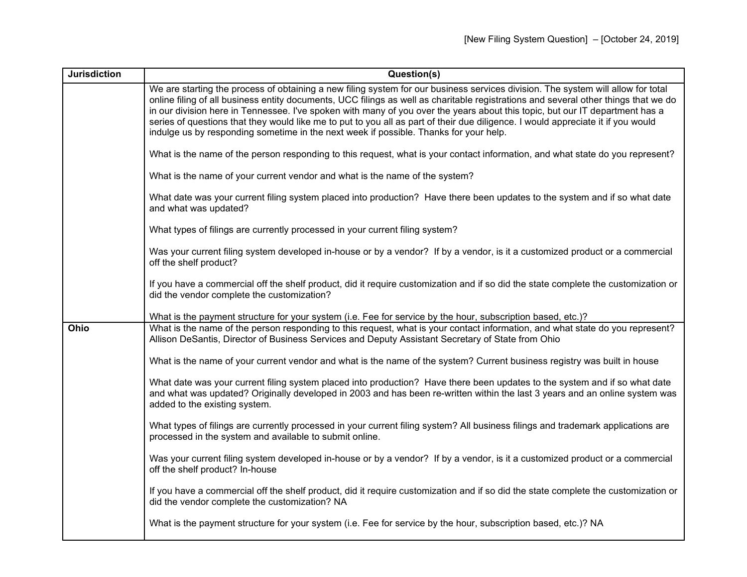| <b>Jurisdiction</b> | Question(s)                                                                                                                                                                                                                                                                                                                                                                                                                                                                                                                                                                                                                          |
|---------------------|--------------------------------------------------------------------------------------------------------------------------------------------------------------------------------------------------------------------------------------------------------------------------------------------------------------------------------------------------------------------------------------------------------------------------------------------------------------------------------------------------------------------------------------------------------------------------------------------------------------------------------------|
|                     | We are starting the process of obtaining a new filing system for our business services division. The system will allow for total<br>online filing of all business entity documents, UCC filings as well as charitable registrations and several other things that we do<br>in our division here in Tennessee. I've spoken with many of you over the years about this topic, but our IT department has a<br>series of questions that they would like me to put to you all as part of their due diligence. I would appreciate it if you would<br>indulge us by responding sometime in the next week if possible. Thanks for your help. |
|                     | What is the name of the person responding to this request, what is your contact information, and what state do you represent?                                                                                                                                                                                                                                                                                                                                                                                                                                                                                                        |
|                     | What is the name of your current vendor and what is the name of the system?                                                                                                                                                                                                                                                                                                                                                                                                                                                                                                                                                          |
|                     | What date was your current filing system placed into production? Have there been updates to the system and if so what date<br>and what was updated?                                                                                                                                                                                                                                                                                                                                                                                                                                                                                  |
|                     | What types of filings are currently processed in your current filing system?                                                                                                                                                                                                                                                                                                                                                                                                                                                                                                                                                         |
|                     | Was your current filing system developed in-house or by a vendor? If by a vendor, is it a customized product or a commercial<br>off the shelf product?                                                                                                                                                                                                                                                                                                                                                                                                                                                                               |
|                     | If you have a commercial off the shelf product, did it require customization and if so did the state complete the customization or<br>did the vendor complete the customization?                                                                                                                                                                                                                                                                                                                                                                                                                                                     |
|                     | What is the payment structure for your system (i.e. Fee for service by the hour, subscription based, etc.)?                                                                                                                                                                                                                                                                                                                                                                                                                                                                                                                          |
| Ohio                | What is the name of the person responding to this request, what is your contact information, and what state do you represent?<br>Allison DeSantis, Director of Business Services and Deputy Assistant Secretary of State from Ohio                                                                                                                                                                                                                                                                                                                                                                                                   |
|                     | What is the name of your current vendor and what is the name of the system? Current business registry was built in house                                                                                                                                                                                                                                                                                                                                                                                                                                                                                                             |
|                     | What date was your current filing system placed into production? Have there been updates to the system and if so what date<br>and what was updated? Originally developed in 2003 and has been re-written within the last 3 years and an online system was<br>added to the existing system.                                                                                                                                                                                                                                                                                                                                           |
|                     | What types of filings are currently processed in your current filing system? All business filings and trademark applications are<br>processed in the system and available to submit online.                                                                                                                                                                                                                                                                                                                                                                                                                                          |
|                     | Was your current filing system developed in-house or by a vendor? If by a vendor, is it a customized product or a commercial<br>off the shelf product? In-house                                                                                                                                                                                                                                                                                                                                                                                                                                                                      |
|                     | If you have a commercial off the shelf product, did it require customization and if so did the state complete the customization or<br>did the vendor complete the customization? NA                                                                                                                                                                                                                                                                                                                                                                                                                                                  |
|                     | What is the payment structure for your system (i.e. Fee for service by the hour, subscription based, etc.)? NA                                                                                                                                                                                                                                                                                                                                                                                                                                                                                                                       |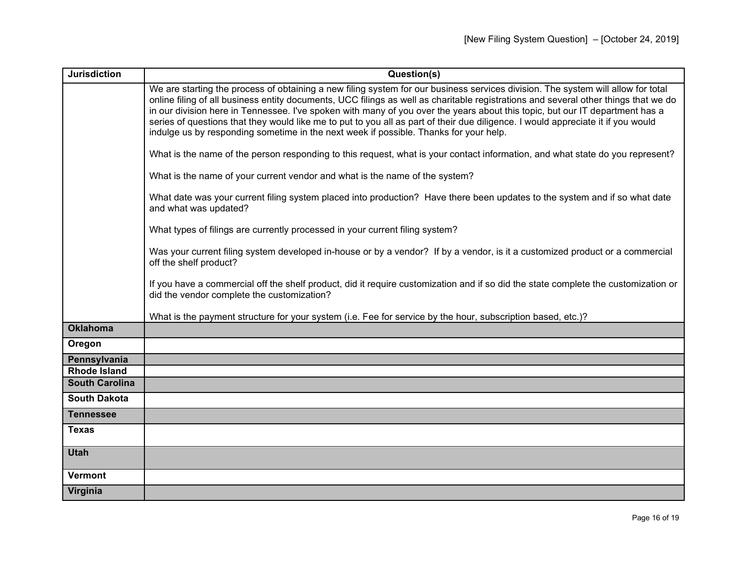| <b>Jurisdiction</b>   | Question(s)                                                                                                                                                                                                                                                                                                                                                                                                                                                                                                                                                                                                                          |
|-----------------------|--------------------------------------------------------------------------------------------------------------------------------------------------------------------------------------------------------------------------------------------------------------------------------------------------------------------------------------------------------------------------------------------------------------------------------------------------------------------------------------------------------------------------------------------------------------------------------------------------------------------------------------|
|                       | We are starting the process of obtaining a new filing system for our business services division. The system will allow for total<br>online filing of all business entity documents, UCC filings as well as charitable registrations and several other things that we do<br>in our division here in Tennessee. I've spoken with many of you over the years about this topic, but our IT department has a<br>series of questions that they would like me to put to you all as part of their due diligence. I would appreciate it if you would<br>indulge us by responding sometime in the next week if possible. Thanks for your help. |
|                       | What is the name of the person responding to this request, what is your contact information, and what state do you represent?                                                                                                                                                                                                                                                                                                                                                                                                                                                                                                        |
|                       | What is the name of your current vendor and what is the name of the system?                                                                                                                                                                                                                                                                                                                                                                                                                                                                                                                                                          |
|                       | What date was your current filing system placed into production? Have there been updates to the system and if so what date<br>and what was updated?                                                                                                                                                                                                                                                                                                                                                                                                                                                                                  |
|                       | What types of filings are currently processed in your current filing system?                                                                                                                                                                                                                                                                                                                                                                                                                                                                                                                                                         |
|                       | Was your current filing system developed in-house or by a vendor? If by a vendor, is it a customized product or a commercial<br>off the shelf product?                                                                                                                                                                                                                                                                                                                                                                                                                                                                               |
|                       | If you have a commercial off the shelf product, did it require customization and if so did the state complete the customization or<br>did the vendor complete the customization?                                                                                                                                                                                                                                                                                                                                                                                                                                                     |
|                       | What is the payment structure for your system (i.e. Fee for service by the hour, subscription based, etc.)?                                                                                                                                                                                                                                                                                                                                                                                                                                                                                                                          |
| <b>Oklahoma</b>       |                                                                                                                                                                                                                                                                                                                                                                                                                                                                                                                                                                                                                                      |
| Oregon                |                                                                                                                                                                                                                                                                                                                                                                                                                                                                                                                                                                                                                                      |
| Pennsylvania          |                                                                                                                                                                                                                                                                                                                                                                                                                                                                                                                                                                                                                                      |
| <b>Rhode Island</b>   |                                                                                                                                                                                                                                                                                                                                                                                                                                                                                                                                                                                                                                      |
| <b>South Carolina</b> |                                                                                                                                                                                                                                                                                                                                                                                                                                                                                                                                                                                                                                      |
| <b>South Dakota</b>   |                                                                                                                                                                                                                                                                                                                                                                                                                                                                                                                                                                                                                                      |
| <b>Tennessee</b>      |                                                                                                                                                                                                                                                                                                                                                                                                                                                                                                                                                                                                                                      |
| <b>Texas</b>          |                                                                                                                                                                                                                                                                                                                                                                                                                                                                                                                                                                                                                                      |
| <b>Utah</b>           |                                                                                                                                                                                                                                                                                                                                                                                                                                                                                                                                                                                                                                      |
| <b>Vermont</b>        |                                                                                                                                                                                                                                                                                                                                                                                                                                                                                                                                                                                                                                      |
| Virginia              |                                                                                                                                                                                                                                                                                                                                                                                                                                                                                                                                                                                                                                      |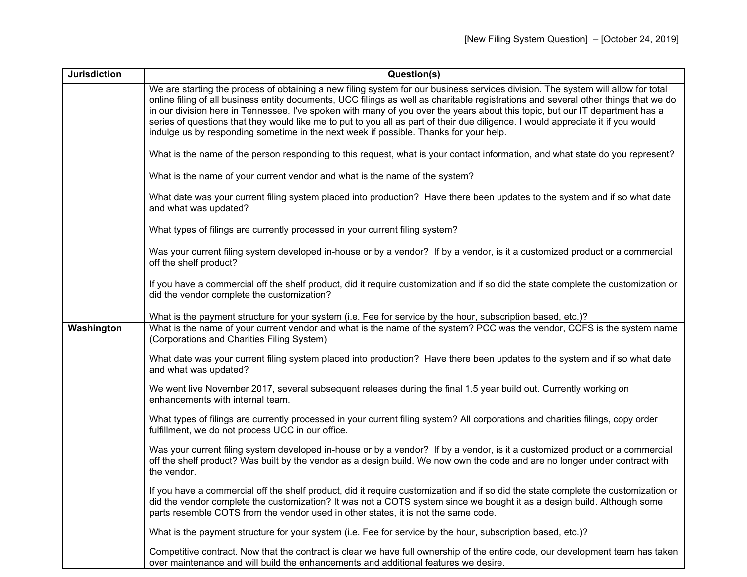| <b>Jurisdiction</b> | Question(s)                                                                                                                                                                                                                                                                                                                                                                                                                                                                                                                                                                                                                          |
|---------------------|--------------------------------------------------------------------------------------------------------------------------------------------------------------------------------------------------------------------------------------------------------------------------------------------------------------------------------------------------------------------------------------------------------------------------------------------------------------------------------------------------------------------------------------------------------------------------------------------------------------------------------------|
|                     | We are starting the process of obtaining a new filing system for our business services division. The system will allow for total<br>online filing of all business entity documents, UCC filings as well as charitable registrations and several other things that we do<br>in our division here in Tennessee. I've spoken with many of you over the years about this topic, but our IT department has a<br>series of questions that they would like me to put to you all as part of their due diligence. I would appreciate it if you would<br>indulge us by responding sometime in the next week if possible. Thanks for your help. |
|                     | What is the name of the person responding to this request, what is your contact information, and what state do you represent?                                                                                                                                                                                                                                                                                                                                                                                                                                                                                                        |
|                     | What is the name of your current vendor and what is the name of the system?                                                                                                                                                                                                                                                                                                                                                                                                                                                                                                                                                          |
|                     | What date was your current filing system placed into production? Have there been updates to the system and if so what date<br>and what was updated?                                                                                                                                                                                                                                                                                                                                                                                                                                                                                  |
|                     | What types of filings are currently processed in your current filing system?                                                                                                                                                                                                                                                                                                                                                                                                                                                                                                                                                         |
|                     | Was your current filing system developed in-house or by a vendor? If by a vendor, is it a customized product or a commercial<br>off the shelf product?                                                                                                                                                                                                                                                                                                                                                                                                                                                                               |
|                     | If you have a commercial off the shelf product, did it require customization and if so did the state complete the customization or<br>did the vendor complete the customization?                                                                                                                                                                                                                                                                                                                                                                                                                                                     |
|                     | What is the payment structure for your system (i.e. Fee for service by the hour, subscription based, etc.)?                                                                                                                                                                                                                                                                                                                                                                                                                                                                                                                          |
| Washington          | What is the name of your current vendor and what is the name of the system? PCC was the vendor, CCFS is the system name<br>(Corporations and Charities Filing System)                                                                                                                                                                                                                                                                                                                                                                                                                                                                |
|                     | What date was your current filing system placed into production? Have there been updates to the system and if so what date<br>and what was updated?                                                                                                                                                                                                                                                                                                                                                                                                                                                                                  |
|                     | We went live November 2017, several subsequent releases during the final 1.5 year build out. Currently working on<br>enhancements with internal team.                                                                                                                                                                                                                                                                                                                                                                                                                                                                                |
|                     | What types of filings are currently processed in your current filing system? All corporations and charities filings, copy order<br>fulfillment, we do not process UCC in our office.                                                                                                                                                                                                                                                                                                                                                                                                                                                 |
|                     | Was your current filing system developed in-house or by a vendor? If by a vendor, is it a customized product or a commercial<br>off the shelf product? Was built by the vendor as a design build. We now own the code and are no longer under contract with<br>the vendor.                                                                                                                                                                                                                                                                                                                                                           |
|                     | If you have a commercial off the shelf product, did it require customization and if so did the state complete the customization or<br>did the vendor complete the customization? It was not a COTS system since we bought it as a design build. Although some<br>parts resemble COTS from the vendor used in other states, it is not the same code.                                                                                                                                                                                                                                                                                  |
|                     | What is the payment structure for your system (i.e. Fee for service by the hour, subscription based, etc.)?                                                                                                                                                                                                                                                                                                                                                                                                                                                                                                                          |
|                     | Competitive contract. Now that the contract is clear we have full ownership of the entire code, our development team has taken<br>over maintenance and will build the enhancements and additional features we desire.                                                                                                                                                                                                                                                                                                                                                                                                                |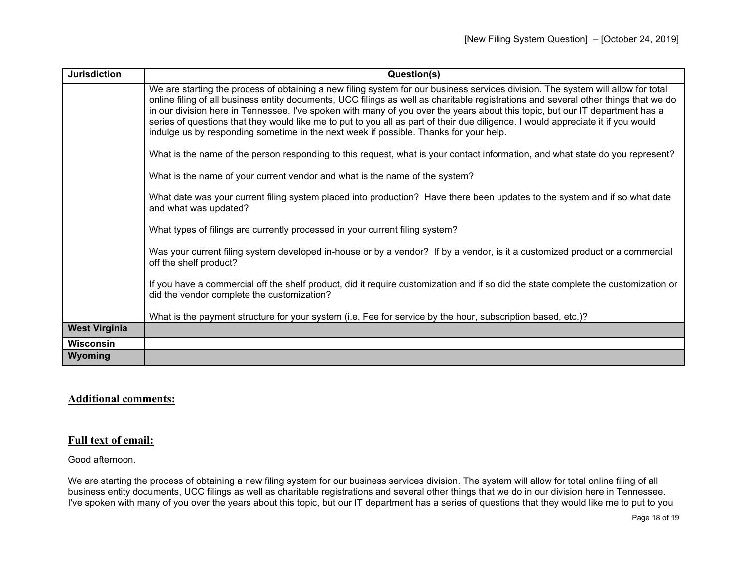| <b>Jurisdiction</b>  | Question(s)                                                                                                                                                                                                                                                                                                                                                                                                                                                                                                                                                                                                                          |
|----------------------|--------------------------------------------------------------------------------------------------------------------------------------------------------------------------------------------------------------------------------------------------------------------------------------------------------------------------------------------------------------------------------------------------------------------------------------------------------------------------------------------------------------------------------------------------------------------------------------------------------------------------------------|
|                      | We are starting the process of obtaining a new filing system for our business services division. The system will allow for total<br>online filing of all business entity documents, UCC filings as well as charitable registrations and several other things that we do<br>in our division here in Tennessee. I've spoken with many of you over the years about this topic, but our IT department has a<br>series of questions that they would like me to put to you all as part of their due diligence. I would appreciate it if you would<br>indulge us by responding sometime in the next week if possible. Thanks for your help. |
|                      | What is the name of the person responding to this request, what is your contact information, and what state do you represent?                                                                                                                                                                                                                                                                                                                                                                                                                                                                                                        |
|                      | What is the name of your current vendor and what is the name of the system?                                                                                                                                                                                                                                                                                                                                                                                                                                                                                                                                                          |
|                      | What date was your current filing system placed into production? Have there been updates to the system and if so what date<br>and what was updated?                                                                                                                                                                                                                                                                                                                                                                                                                                                                                  |
|                      | What types of filings are currently processed in your current filing system?                                                                                                                                                                                                                                                                                                                                                                                                                                                                                                                                                         |
|                      | Was your current filing system developed in-house or by a vendor? If by a vendor, is it a customized product or a commercial<br>off the shelf product?                                                                                                                                                                                                                                                                                                                                                                                                                                                                               |
|                      | If you have a commercial off the shelf product, did it require customization and if so did the state complete the customization or<br>did the vendor complete the customization?                                                                                                                                                                                                                                                                                                                                                                                                                                                     |
|                      | What is the payment structure for your system (i.e. Fee for service by the hour, subscription based, etc.)?                                                                                                                                                                                                                                                                                                                                                                                                                                                                                                                          |
| <b>West Virginia</b> |                                                                                                                                                                                                                                                                                                                                                                                                                                                                                                                                                                                                                                      |
| <b>Wisconsin</b>     |                                                                                                                                                                                                                                                                                                                                                                                                                                                                                                                                                                                                                                      |
| Wyoming              |                                                                                                                                                                                                                                                                                                                                                                                                                                                                                                                                                                                                                                      |

## **Additional comments:**

## **Full text of email:**

Good afternoon.

We are starting the process of obtaining a new filing system for our business services division. The system will allow for total online filing of all business entity documents, UCC filings as well as charitable registrations and several other things that we do in our division here in Tennessee. I've spoken with many of you over the years about this topic, but our IT department has a series of questions that they would like me to put to you